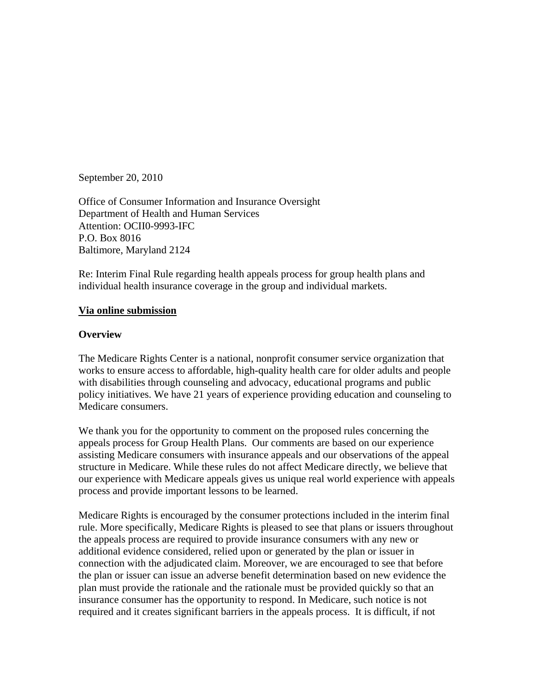September 20, 2010

Office of Consumer Information and Insurance Oversight Department of Health and Human Services Attention: OCII0-9993-IFC P.O. Box 8016 Baltimore, Maryland 2124

Re: Interim Final Rule regarding health appeals process for group health plans and individual health insurance coverage in the group and individual markets.

#### **Via online submission**

#### **Overview**

The Medicare Rights Center is a national, nonprofit consumer service organization that works to ensure access to affordable, high-quality health care for older adults and people with disabilities through counseling and advocacy, educational programs and public policy initiatives. We have 21 years of experience providing education and counseling to Medicare consumers.

We thank you for the opportunity to comment on the proposed rules concerning the appeals process for Group Health Plans. Our comments are based on our experience assisting Medicare consumers with insurance appeals and our observations of the appeal structure in Medicare. While these rules do not affect Medicare directly, we believe that our experience with Medicare appeals gives us unique real world experience with appeals process and provide important lessons to be learned.

Medicare Rights is encouraged by the consumer protections included in the interim final rule. More specifically, Medicare Rights is pleased to see that plans or issuers throughout the appeals process are required to provide insurance consumers with any new or additional evidence considered, relied upon or generated by the plan or issuer in connection with the adjudicated claim. Moreover, we are encouraged to see that before the plan or issuer can issue an adverse benefit determination based on new evidence the plan must provide the rationale and the rationale must be provided quickly so that an insurance consumer has the opportunity to respond. In Medicare, such notice is not required and it creates significant barriers in the appeals process. It is difficult, if not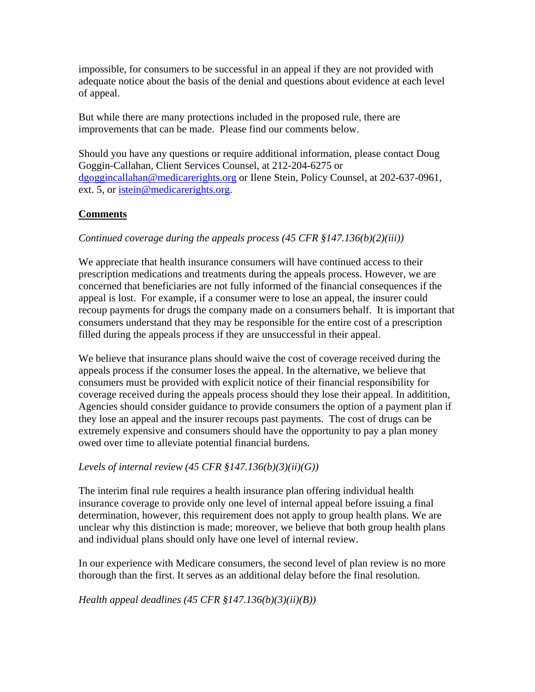impossible, for consumers to be successful in an appeal if they are not provided with adequate notice about the basis of the denial and questions about evidence at each level of appeal.

But while there are many protections included in the proposed rule, there are improvements that can be made. Please find our comments below.

Should you have any questions or require additional information, please contact Doug Goggin-Callahan, Client Services Counsel, at 212-204-6275 or [dgoggincallahan@medicarerights.org](mailto:dgoggincallahan@medicarerights.org) or Ilene Stein, Policy Counsel, at 202-637-0961, ext. 5, or [istein@medicarerights.org](mailto:istein@medicarerights.org).

# **Comments**

# *Continued coverage during the appeals process (45 CFR §147.136(b)(2)(iii))*

We appreciate that health insurance consumers will have continued access to their prescription medications and treatments during the appeals process. However, we are concerned that beneficiaries are not fully informed of the financial consequences if the appeal is lost. For example, if a consumer were to lose an appeal, the insurer could recoup payments for drugs the company made on a consumers behalf. It is important that consumers understand that they may be responsible for the entire cost of a prescription filled during the appeals process if they are unsuccessful in their appeal.

We believe that insurance plans should waive the cost of coverage received during the appeals process if the consumer loses the appeal. In the alternative, we believe that consumers must be provided with explicit notice of their financial responsibility for coverage received during the appeals process should they lose their appeal. In additition, Agencies should consider guidance to provide consumers the option of a payment plan if they lose an appeal and the insurer recoups past payments. The cost of drugs can be extremely expensive and consumers should have the opportunity to pay a plan money owed over time to alleviate potential financial burdens.

# *Levels of internal review (45 CFR §147.136(b)(3)(ii)(G))*

The interim final rule requires a health insurance plan offering individual health insurance coverage to provide only one level of internal appeal before issuing a final determination, however, this requirement does not apply to group health plans. We are unclear why this distinction is made; moreover, we believe that both group health plans and individual plans should only have one level of internal review.

In our experience with Medicare consumers, the second level of plan review is no more thorough than the first. It serves as an additional delay before the final resolution.

*Health appeal deadlines (45 CFR §147.136(b)(3)(ii)(B))*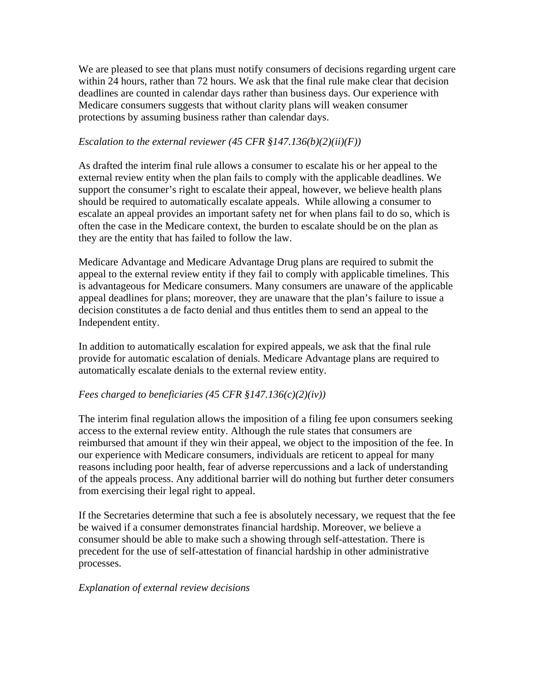We are pleased to see that plans must notify consumers of decisions regarding urgent care within 24 hours, rather than 72 hours. We ask that the final rule make clear that decision deadlines are counted in calendar days rather than business days. Our experience with Medicare consumers suggests that without clarity plans will weaken consumer protections by assuming business rather than calendar days.

### *Escalation to the external reviewer (45 CFR §147.136(b)(2)(ii)(F))*

As drafted the interim final rule allows a consumer to escalate his or her appeal to the external review entity when the plan fails to comply with the applicable deadlines. We support the consumer's right to escalate their appeal, however, we believe health plans should be required to automatically escalate appeals. While allowing a consumer to escalate an appeal provides an important safety net for when plans fail to do so, which is often the case in the Medicare context, the burden to escalate should be on the plan as they are the entity that has failed to follow the law.

Medicare Advantage and Medicare Advantage Drug plans are required to submit the appeal to the external review entity if they fail to comply with applicable timelines. This is advantageous for Medicare consumers. Many consumers are unaware of the applicable appeal deadlines for plans; moreover, they are unaware that the plan's failure to issue a decision constitutes a de facto denial and thus entitles them to send an appeal to the Independent entity.

In addition to automatically escalation for expired appeals, we ask that the final rule provide for automatic escalation of denials. Medicare Advantage plans are required to automatically escalate denials to the external review entity.

# *Fees charged to beneficiaries (45 CFR §147.136(c)(2)(iv))*

The interim final regulation allows the imposition of a filing fee upon consumers seeking access to the external review entity. Although the rule states that consumers are reimbursed that amount if they win their appeal, we object to the imposition of the fee. In our experience with Medicare consumers, individuals are reticent to appeal for many reasons including poor health, fear of adverse repercussions and a lack of understanding of the appeals process. Any additional barrier will do nothing but further deter consumers from exercising their legal right to appeal.

If the Secretaries determine that such a fee is absolutely necessary, we request that the fee be waived if a consumer demonstrates financial hardship. Moreover, we believe a consumer should be able to make such a showing through self-attestation. There is precedent for the use of self-attestation of financial hardship in other administrative processes.

### *Explanation of external review decisions*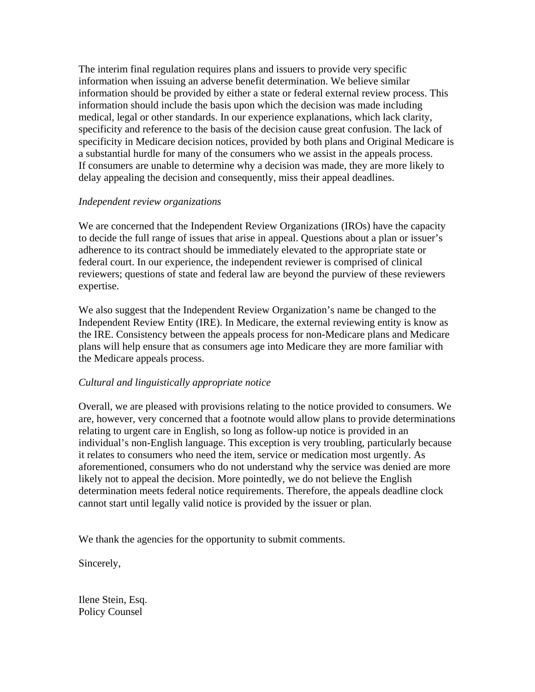The interim final regulation requires plans and issuers to provide very specific information when issuing an adverse benefit determination. We believe similar information should be provided by either a state or federal external review process. This information should include the basis upon which the decision was made including medical, legal or other standards. In our experience explanations, which lack clarity, specificity and reference to the basis of the decision cause great confusion. The lack of specificity in Medicare decision notices, provided by both plans and Original Medicare is a substantial hurdle for many of the consumers who we assist in the appeals process. If consumers are unable to determine why a decision was made, they are more likely to delay appealing the decision and consequently, miss their appeal deadlines.

### *Independent review organizations*

We are concerned that the Independent Review Organizations (IROs) have the capacity to decide the full range of issues that arise in appeal. Questions about a plan or issuer's adherence to its contract should be immediately elevated to the appropriate state or federal court. In our experience, the independent reviewer is comprised of clinical reviewers; questions of state and federal law are beyond the purview of these reviewers expertise.

We also suggest that the Independent Review Organization's name be changed to the Independent Review Entity (IRE). In Medicare, the external reviewing entity is know as the IRE. Consistency between the appeals process for non-Medicare plans and Medicare plans will help ensure that as consumers age into Medicare they are more familiar with the Medicare appeals process.

### *Cultural and linguistically appropriate notice*

Overall, we are pleased with provisions relating to the notice provided to consumers. We are, however, very concerned that a footnote would allow plans to provide determinations relating to urgent care in English, so long as follow-up notice is provided in an individual's non-English language. This exception is very troubling, particularly because it relates to consumers who need the item, service or medication most urgently. As aforementioned, consumers who do not understand why the service was denied are more likely not to appeal the decision. More pointedly, we do not believe the English determination meets federal notice requirements. Therefore, the appeals deadline clock cannot start until legally valid notice is provided by the issuer or plan.

We thank the agencies for the opportunity to submit comments.

Sincerely,

Ilene Stein, Esq. Policy Counsel